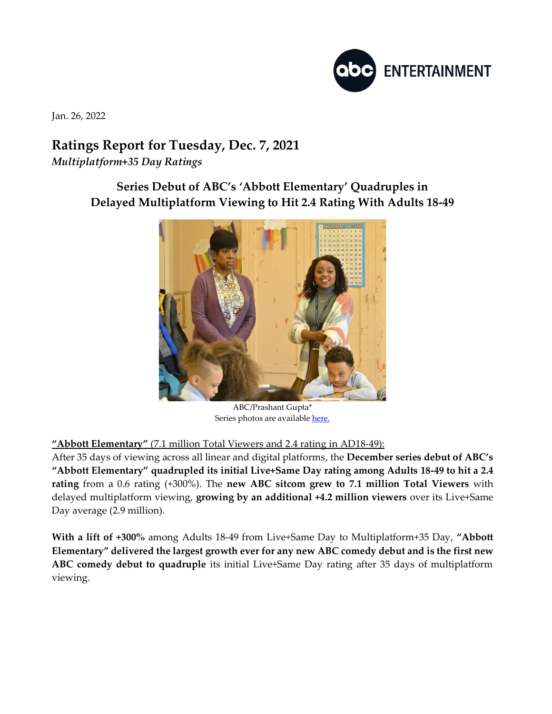

Jan. 26, 2022

## **Ratings Report for Tuesday, Dec. 7, 2021** *Multiplatform+35 Day Ratings*

**Series Debut of ABC's 'Abbott Elementary' Quadruples in Delayed Multiplatform Viewing to Hit 2.4 Rating With Adults 18-49** 



ABC/Prashant Gupta\* Series photos are availabl[e here.](https://www.dgepress.com/abc/shows/)

## **"Abbott Elementary"** (7.1 million Total Viewers and 2.4 rating in AD18-49):

After 35 days of viewing across all linear and digital platforms, the **December series debut of ABC's "Abbott Elementary" quadrupled its initial Live+Same Day rating among Adults 18-49 to hit a 2.4 rating** from a 0.6 rating (+300%). The **new ABC sitcom grew to 7.1 million Total Viewers** with delayed multiplatform viewing, **growing by an additional +4.2 million viewers** over its Live+Same Day average (2.9 million).

**With a lift of +300%** among Adults 18-49 from Live+Same Day to Multiplatform+35 Day, **"Abbott Elementary" delivered the largest growth ever for any new ABC comedy debut and is the first new ABC comedy debut to quadruple** its initial Live+Same Day rating after 35 days of multiplatform viewing.